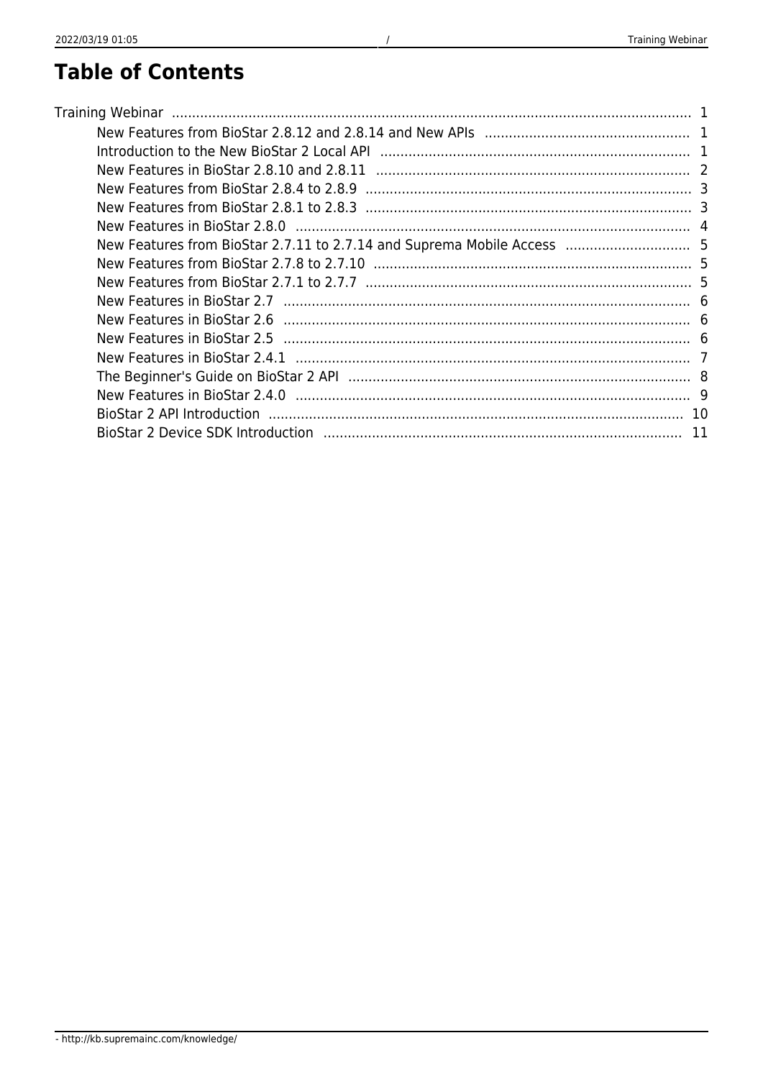### **Table of Contents**

| New Features from BioStar 2.7.11 to 2.7.14 and Suprema Mobile Access  5 |  |
|-------------------------------------------------------------------------|--|
|                                                                         |  |
|                                                                         |  |
|                                                                         |  |
|                                                                         |  |
|                                                                         |  |
|                                                                         |  |
|                                                                         |  |
|                                                                         |  |
|                                                                         |  |
|                                                                         |  |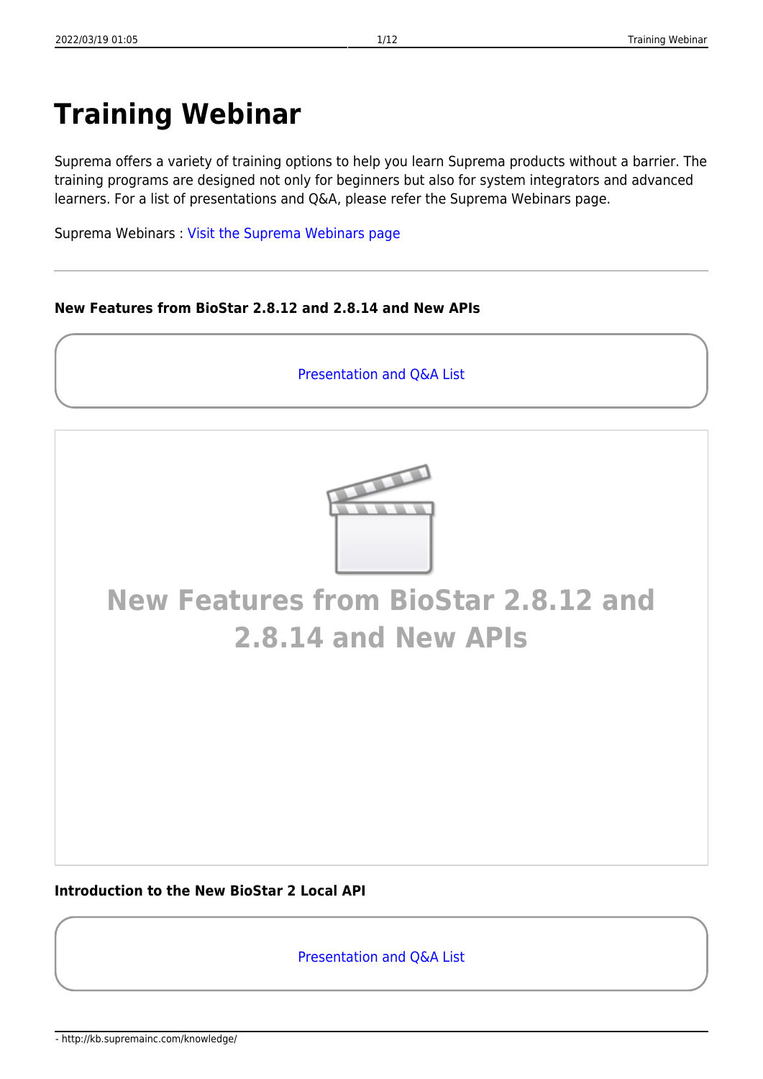## <span id="page-1-0"></span>**Training Webinar**

Suprema offers a variety of training options to help you learn Suprema products without a barrier. The training programs are designed not only for beginners but also for system integrators and advanced learners. For a list of presentations and Q&A, please refer the Suprema Webinars page.

Suprema Webinars : [Visit the Suprema Webinars page](https://support.supremainc.com/en/support/solutions/24000002753)

#### <span id="page-1-1"></span>**New Features from BioStar 2.8.12 and 2.8.14 and New APIs**

[Presentation and Q&A List](https://support.supremainc.com/en/support/solutions/articles/24000075449--biostar-2-biostar-2-new-features-new-apis-v2-8-12-v2-8-14-)



### **[New Features from BioStar 2.8.12 and](http://www.youtube.com/embed/XUdsoRmaO5o) [2.8.14 and New APIs](http://www.youtube.com/embed/XUdsoRmaO5o)**

#### <span id="page-1-2"></span>**Introduction to the New BioStar 2 Local API**

[Presentation and Q&A List](https://support.supremainc.com/en/support/solutions/articles/24000073033--biostar-2-api-introduction-to-the-new-biostar-2-local-api)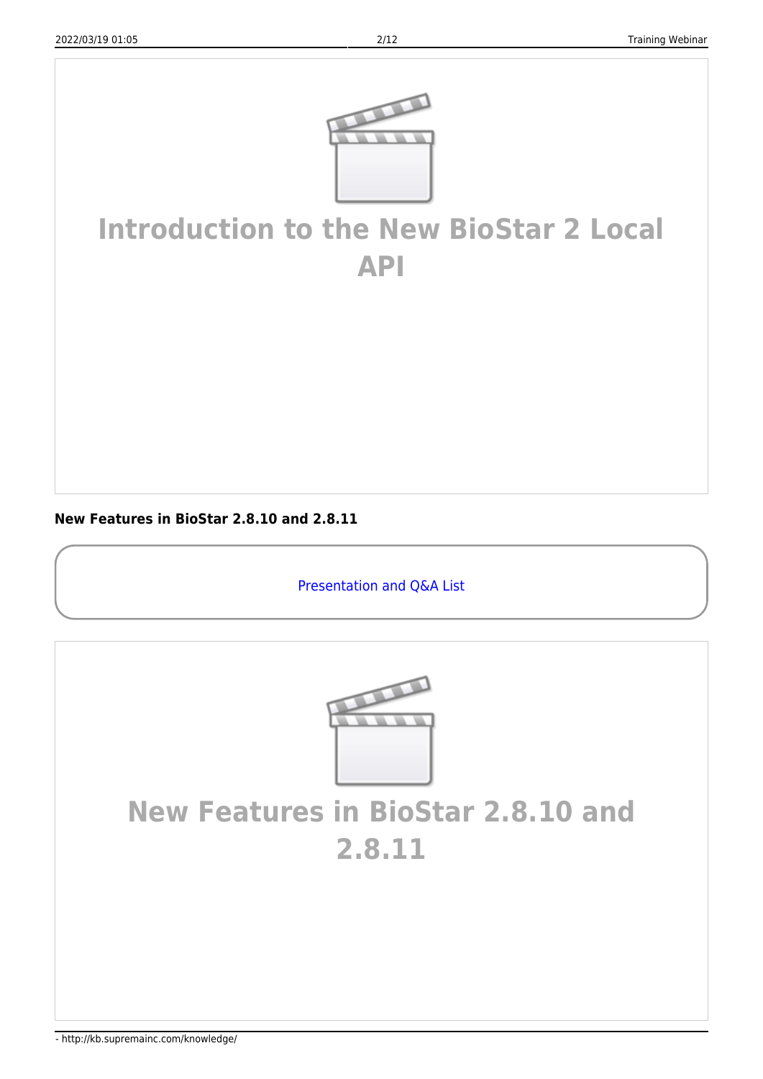

### **[Introduction to the New BioStar 2 Local](http://www.youtube.com/embed/qPeBl6cOPfI) [API](http://www.youtube.com/embed/qPeBl6cOPfI)**

<span id="page-2-0"></span>**New Features in BioStar 2.8.10 and 2.8.11**

[Presentation and Q&A List](https://support.supremainc.com/en/support/solutions/articles/24000069402--biostar-2-biostar-2-sw-new-features-v2-8-10-v2-8-11-)



### **[New Features in BioStar 2.8.10 and](http://www.youtube.com/embed/oSNcibRahSE) [2.8.11](http://www.youtube.com/embed/oSNcibRahSE)**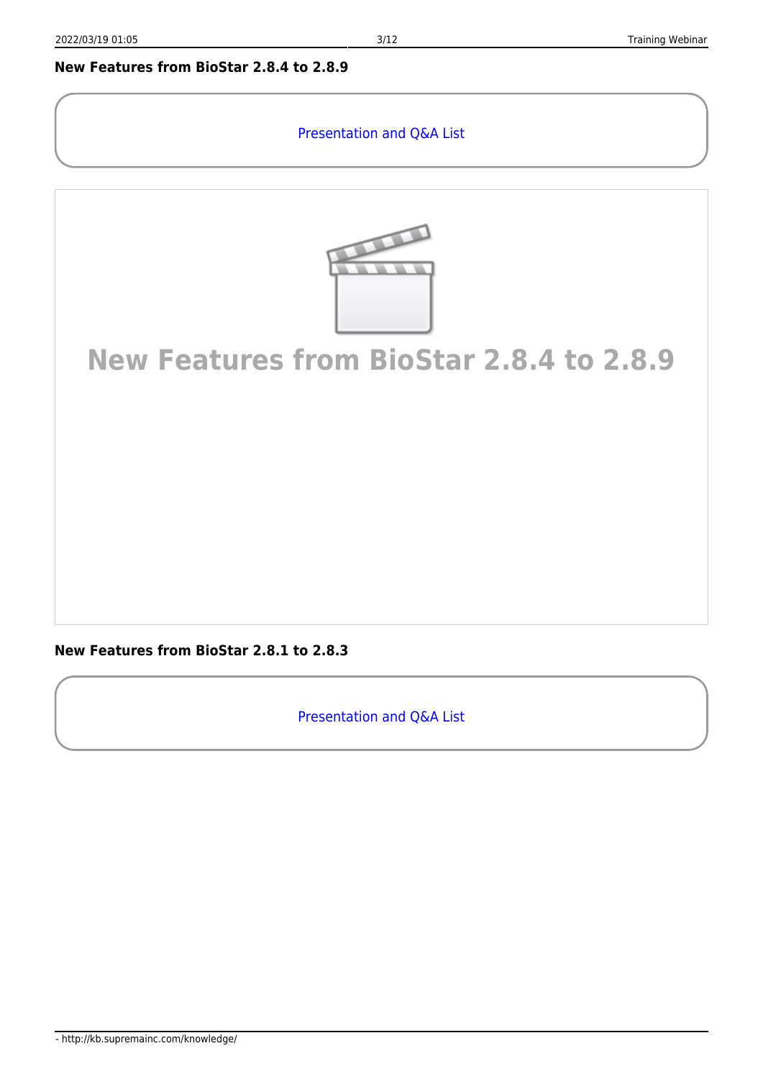#### <span id="page-3-0"></span>**New Features from BioStar 2.8.4 to 2.8.9**

#### [Presentation and Q&A List](https://support.supremainc.com/en/support/solutions/articles/24000064342--biostar-2-biostar-2-sw-new-features-v2-8-4-v2-8-9-)



### **[New Features from BioStar 2.8.4 to 2.8.9](http://www.youtube.com/embed/_Gr-yL0-MRs)**

<span id="page-3-1"></span>**New Features from BioStar 2.8.1 to 2.8.3**

[Presentation and Q&A List](https://support.supremainc.com/en/support/solutions/articles/24000058667--biostar-2-biostar-2-new-feature-v2-8-1-2-8-3-with-v2-8-2-90x)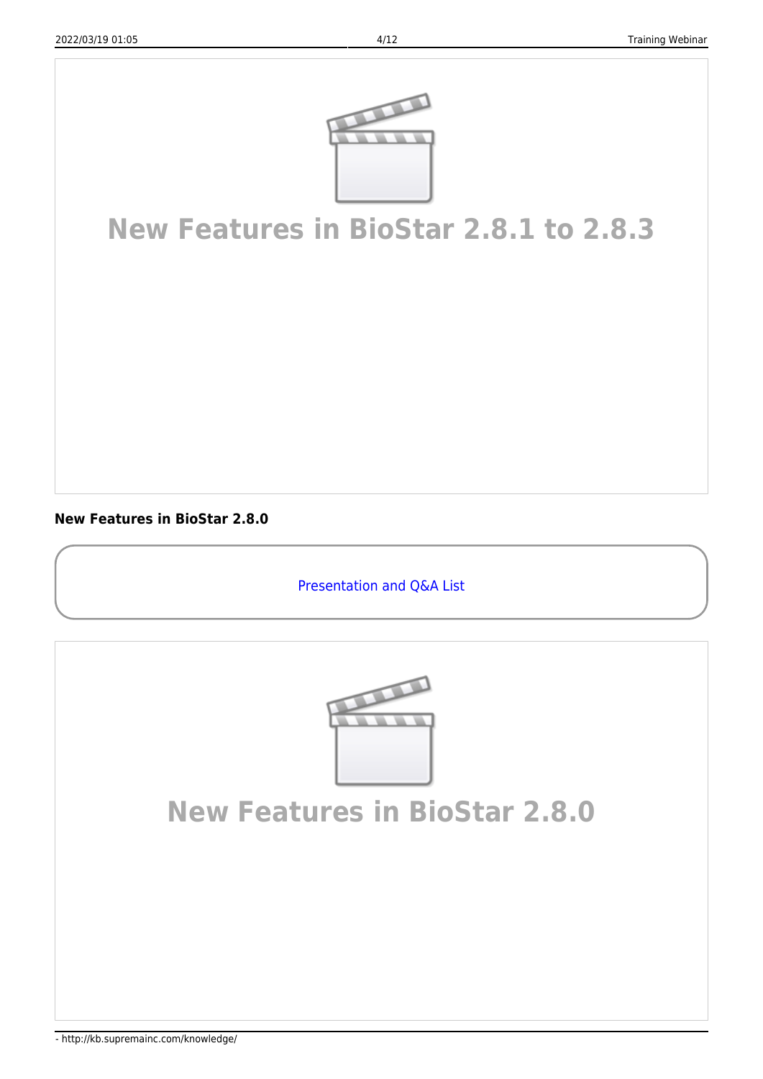

### **[New Features in BioStar 2.8.1 to 2.8.3](http://www.youtube.com/embed/p4Z3h7E_91Q)**

<span id="page-4-0"></span>**New Features in BioStar 2.8.0**

[Presentation and Q&A List](https://support.supremainc.com/en/support/solutions/articles/24000055756--biostar-2-overview-of-biostar-2-v2-8-and-cyber-security)



### **[New Features in BioStar 2.8.0](http://www.youtube.com/embed/l61K0ZQDVf0)**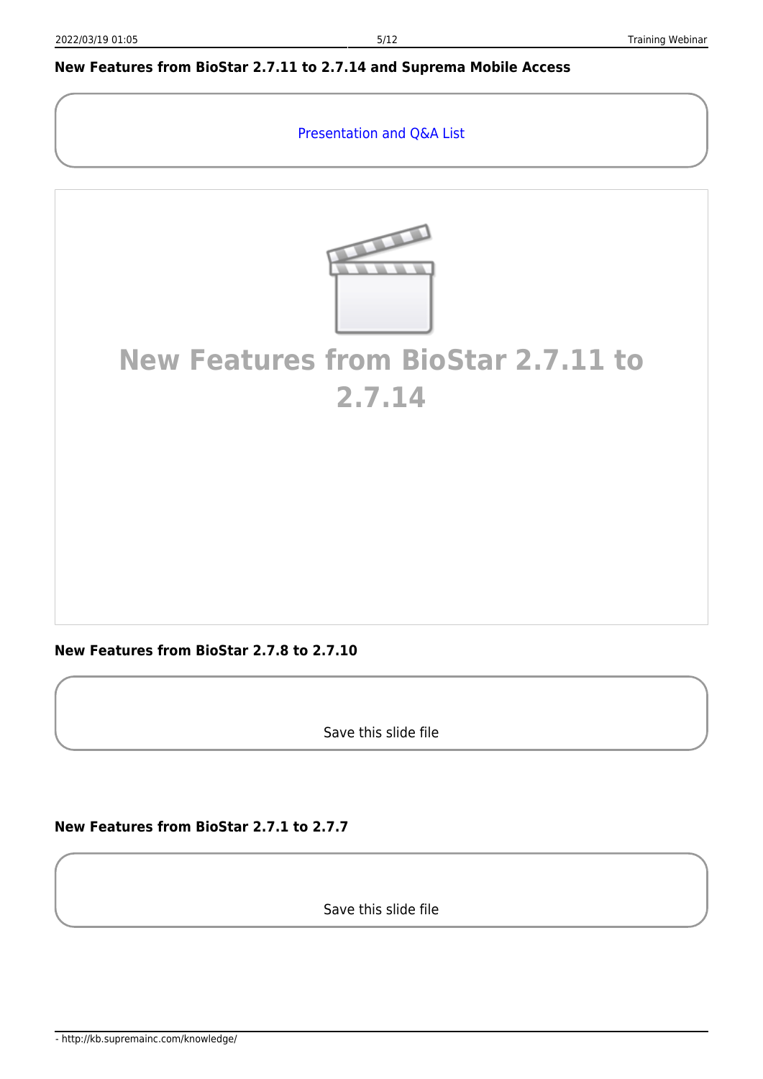#### <span id="page-5-0"></span>**New Features from BioStar 2.7.11 to 2.7.14 and Suprema Mobile Access**

[Presentation and Q&A List](https://support.supremainc.com/en/support/solutions/articles/24000054883--biostar-2-overview-of-biostar-2-s-latest-release-and-how-to-use-suprema-mobile-access)



### **[New Features from BioStar 2.7.11 to](http://www.youtube.com/embed/KaFht-zQIXU) [2.7.14](http://www.youtube.com/embed/KaFht-zQIXU)**

<span id="page-5-1"></span>**New Features from BioStar 2.7.8 to 2.7.10**

Save this slide file

<span id="page-5-2"></span>**New Features from BioStar 2.7.1 to 2.7.7**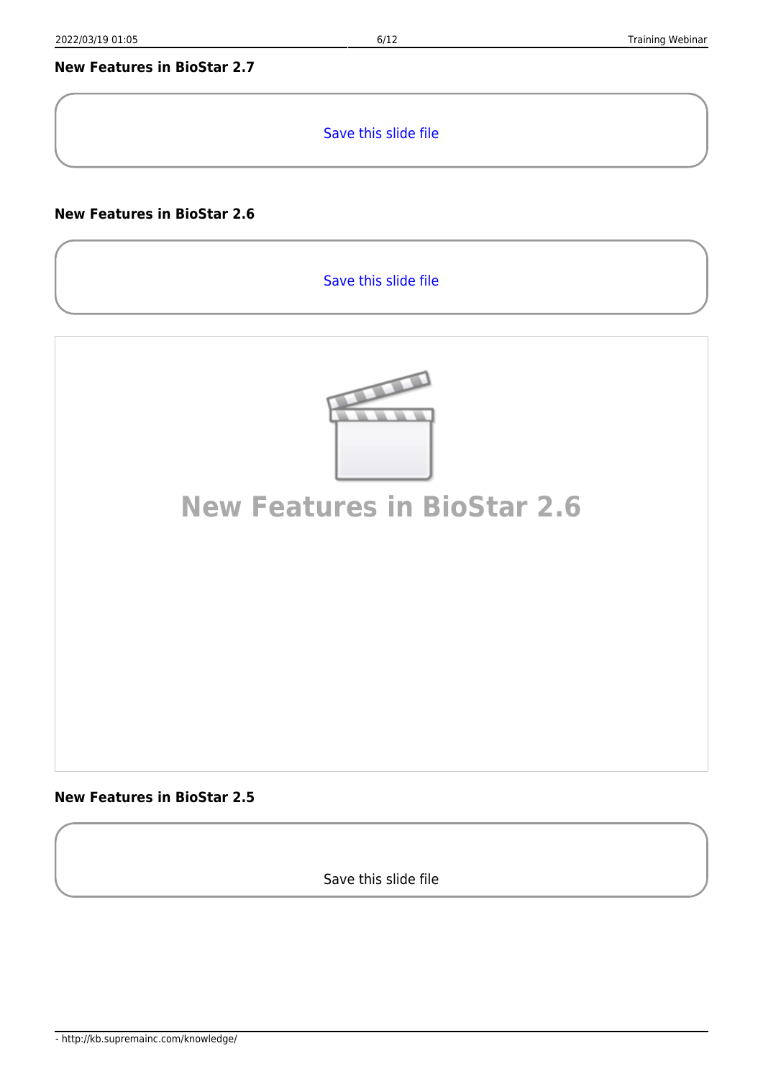#### <span id="page-6-0"></span>**New Features in BioStar 2.7**

[Save this slide file](http://kb.supremainc.com/knowledge/lib/exe/fetch.php?media=en:sgpp_technicaltrainingsession1_biostar2.7_newfeatureinstroduction_distribution.pdf)

#### <span id="page-6-1"></span>**New Features in BioStar 2.6**

[Save this slide file](http://kb.supremainc.com/knowledge/lib/exe/fetch.php?media=en:biostar_2.6.1_new_features_final.pdf)



#### <span id="page-6-2"></span>**New Features in BioStar 2.5**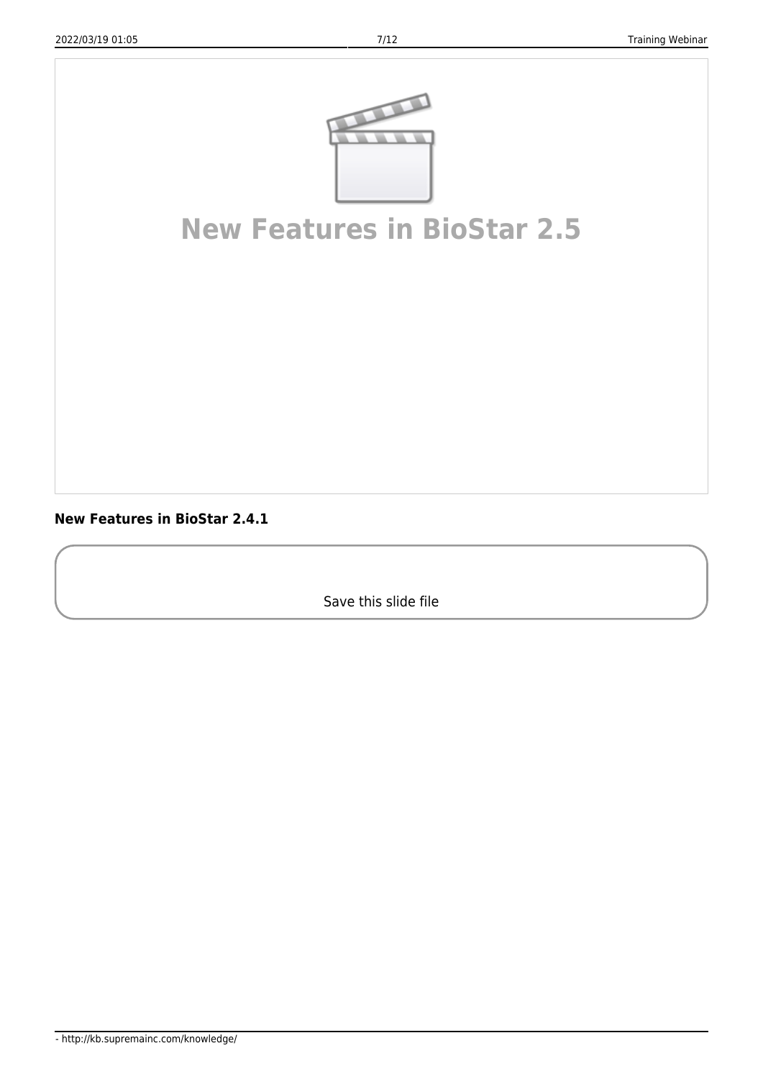

### **[New Features in BioStar 2.5](http://www.youtube.com/embed/aDvmm984ZOY)**

<span id="page-7-0"></span>**New Features in BioStar 2.4.1**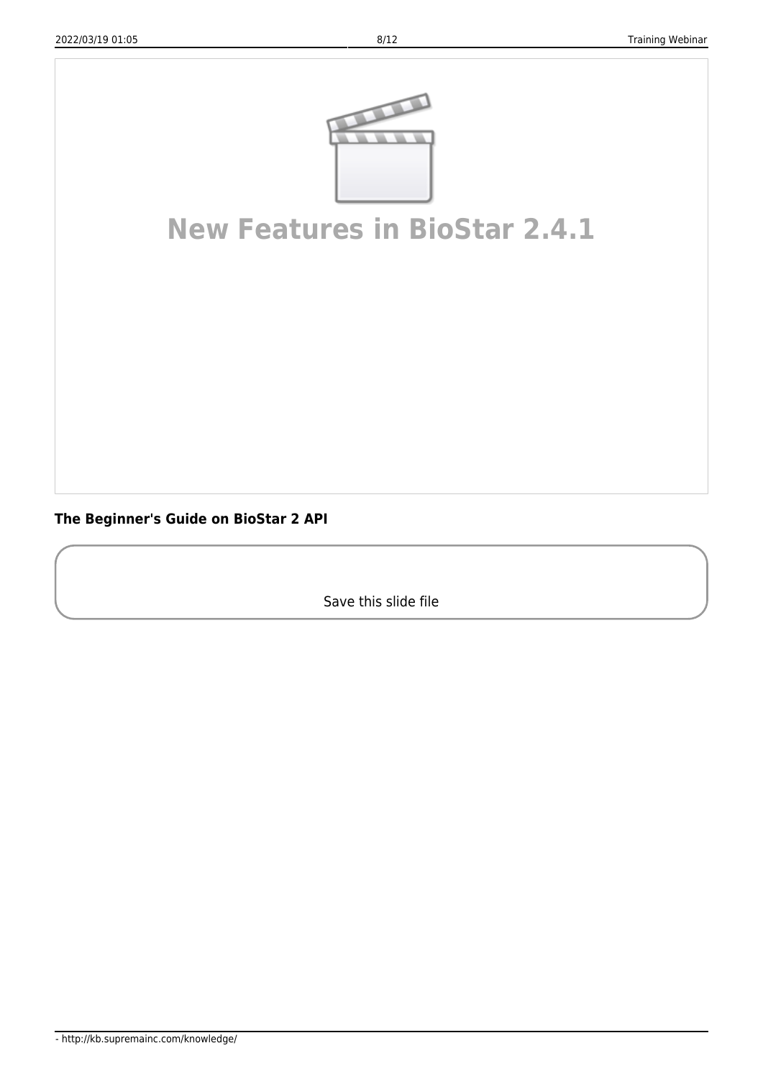

### **[New Features in BioStar 2.4.1](http://www.youtube.com/embed/w80AjFj1Vk0)**

<span id="page-8-0"></span>**The Beginner's Guide on BioStar 2 API**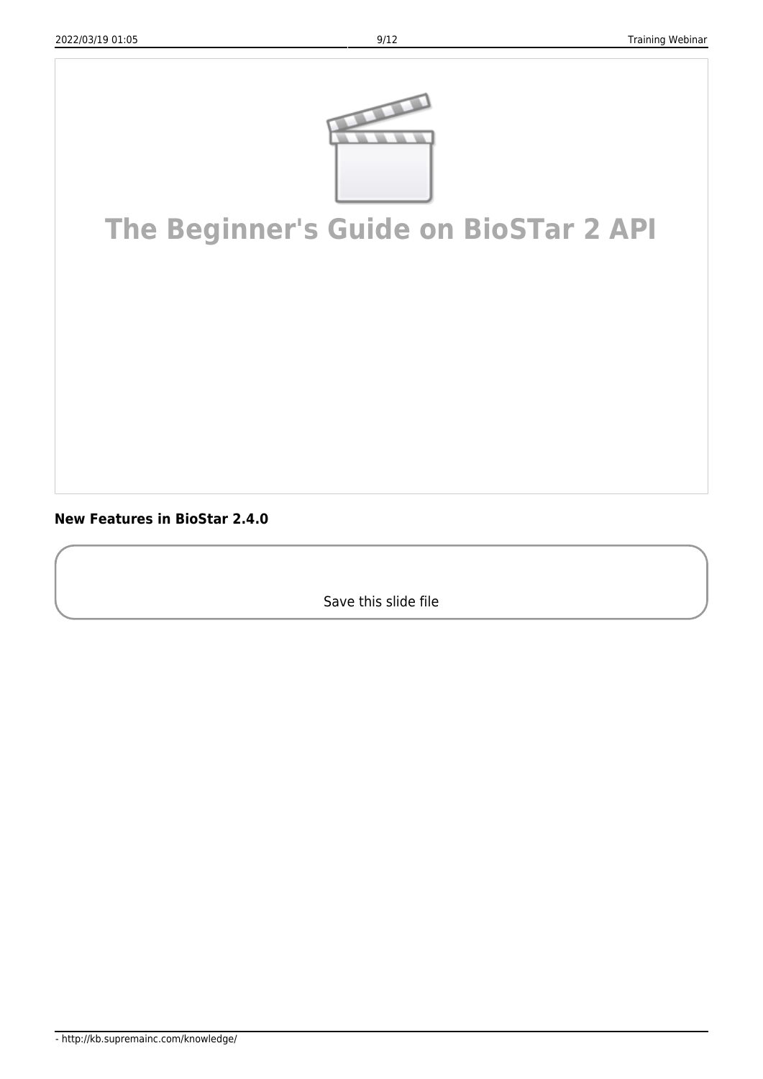

# **[The Beginner's Guide on BioSTar 2 API](http://www.youtube.com/embed/dA0QhhOEjLQ)**

<span id="page-9-0"></span>**New Features in BioStar 2.4.0**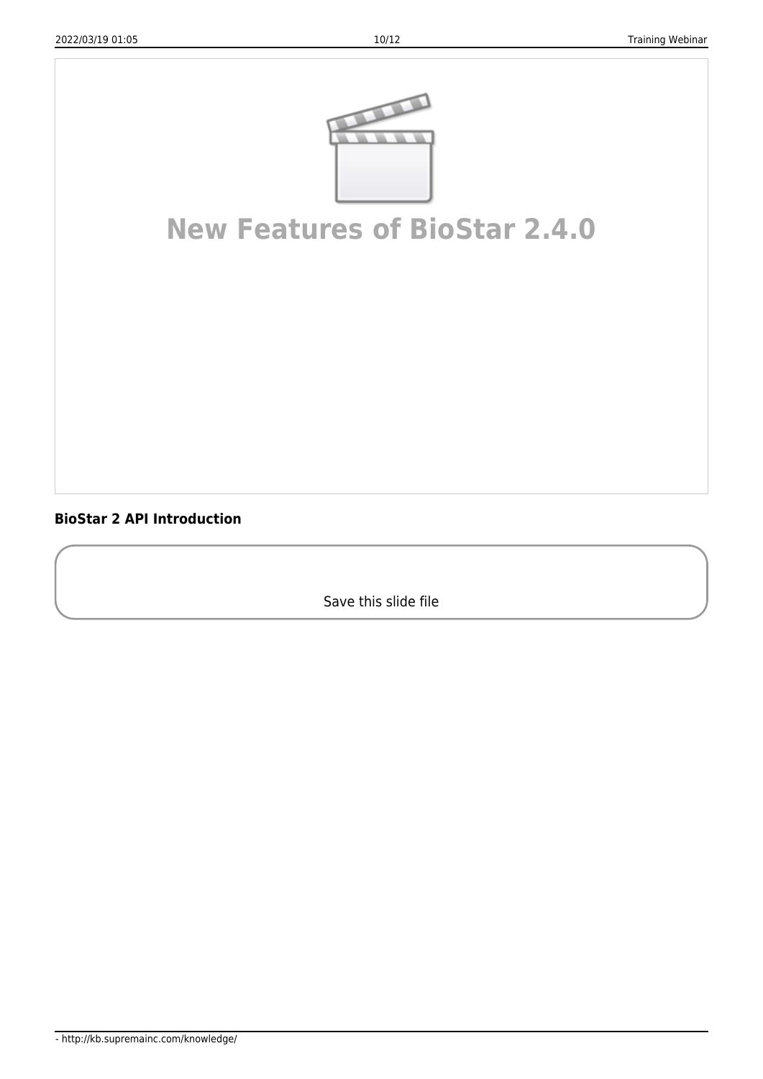

## **[New Features of BioStar 2.4.0](http://www.youtube.com/embed/E4P7bommnV0)**

<span id="page-10-0"></span>**BioStar 2 API Introduction**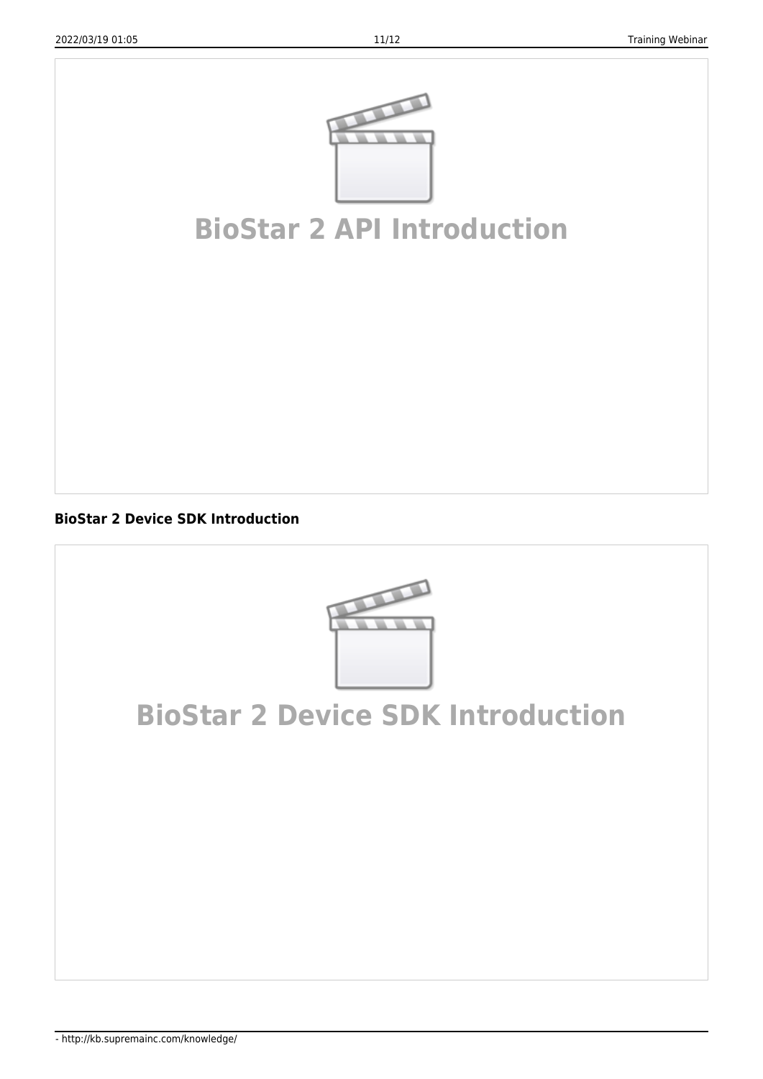

### **[BioStar 2 API Introduction](http://www.youtube.com/embed/7FwUhzDQpxk)**

<span id="page-11-0"></span>**BioStar 2 Device SDK Introduction**



### **[BioStar 2 Device SDK Introduction](http://www.youtube.com/embed/HCugsSQmaxU)**